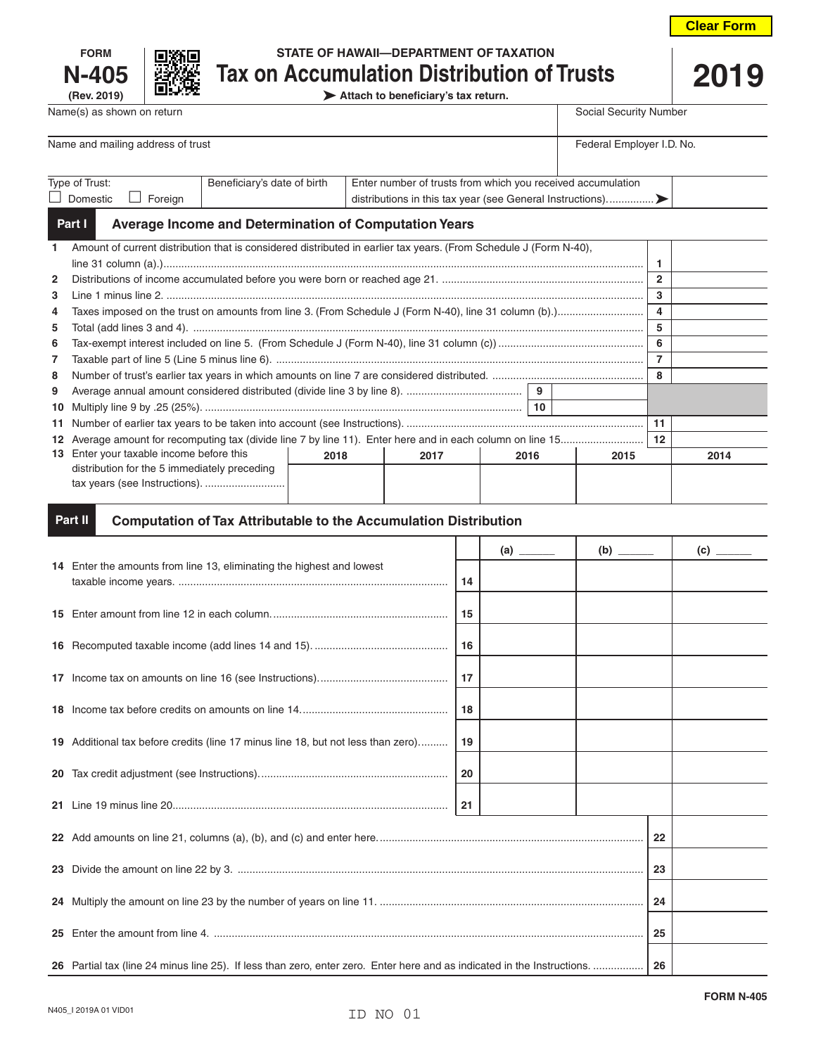| <b>FORM</b>    |  |  |  |  |  |
|----------------|--|--|--|--|--|
| N-405          |  |  |  |  |  |
| $(D_{01}0010)$ |  |  |  |  |  |



# **STATE OF HAWAII—DEPARTMENT OF TAXATION N-405 Tax on Accumulation Distribution of Trusts 2019**

**(Rev. 2019) Attach to beneficiary's tax return.**

| Name(s) as shown on return        |                             |                                                             | Social Security Number |  |  |  |  |
|-----------------------------------|-----------------------------|-------------------------------------------------------------|------------------------|--|--|--|--|
|                                   |                             |                                                             |                        |  |  |  |  |
| Name and mailing address of trust | Federal Employer I.D. No.   |                                                             |                        |  |  |  |  |
|                                   |                             |                                                             |                        |  |  |  |  |
| Type of Trust:                    | Beneficiary's date of birth | Enter number of trusts from which you received accumulation |                        |  |  |  |  |
| Domestic<br>Foreian               |                             |                                                             |                        |  |  |  |  |
|                                   |                             |                                                             |                        |  |  |  |  |

#### **Average Income and Determination of Computation Years Part I**

| $\mathbf{1}$   | Amount of current distribution that is considered distributed in earlier tax years. (From Schedule J (Form N-40), |      |      |      |  |      |              |      |
|----------------|-------------------------------------------------------------------------------------------------------------------|------|------|------|--|------|--------------|------|
|                |                                                                                                                   |      |      |      |  |      |              |      |
| $\mathbf{2}$   |                                                                                                                   |      |      |      |  |      | $\mathbf{2}$ |      |
| 3              |                                                                                                                   |      |      |      |  |      |              |      |
| 4              |                                                                                                                   |      |      |      |  |      |              |      |
| 5              |                                                                                                                   |      |      |      |  |      | 5            |      |
| 6              |                                                                                                                   |      |      |      |  |      |              |      |
| $\overline{7}$ |                                                                                                                   |      |      |      |  |      | 7            |      |
| 8              |                                                                                                                   |      |      |      |  |      |              |      |
| 9              | 9                                                                                                                 |      |      |      |  |      |              |      |
|                | 10                                                                                                                |      |      |      |  |      |              |      |
|                |                                                                                                                   |      |      |      |  |      | 11           |      |
|                |                                                                                                                   |      |      |      |  |      | 12           |      |
|                | 13 Enter your taxable income before this                                                                          | 2018 | 2017 | 2016 |  | 2015 |              | 2014 |
|                | distribution for the 5 immediately preceding                                                                      |      |      |      |  |      |              |      |
|                | tax years (see Instructions).                                                                                     |      |      |      |  |      |              |      |
|                |                                                                                                                   |      |      |      |  |      |              |      |

#### **Computation of Tax Attributable to the Accumulation Distribution Part II**

|    |                                                                                  |    |  |  |  | $\overline{c}$ $\overline{\phantom{c}a}$ |
|----|----------------------------------------------------------------------------------|----|--|--|--|------------------------------------------|
|    | 14 Enter the amounts from line 13, eliminating the highest and lowest            | 14 |  |  |  |                                          |
|    |                                                                                  | 15 |  |  |  |                                          |
|    |                                                                                  | 16 |  |  |  |                                          |
|    |                                                                                  | 17 |  |  |  |                                          |
|    |                                                                                  | 18 |  |  |  |                                          |
|    | 19 Additional tax before credits (line 17 minus line 18, but not less than zero) | 19 |  |  |  |                                          |
|    |                                                                                  | 20 |  |  |  |                                          |
|    |                                                                                  | 21 |  |  |  |                                          |
|    |                                                                                  | 22 |  |  |  |                                          |
|    |                                                                                  |    |  |  |  |                                          |
|    |                                                                                  |    |  |  |  |                                          |
| 25 |                                                                                  |    |  |  |  |                                          |
|    |                                                                                  |    |  |  |  |                                          |